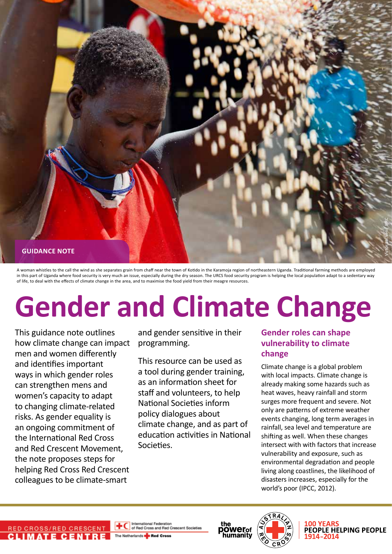

A woman whistles to the call the wind as she separates grain from chaff near the town of Kotido in the Karamoja region of northeastern Uganda. Traditional farming methods are employed in this part of Uganda where food security is very much an issue, especially during the dry season. The URCS food security program is helping the local population adapt to a sedentary way of life, to deal with the effects of climate change in the area, and to maximise the food yield from their meagre resources.

# **Gender and Climate Change**

This guidance note outlines how climate change can impact men and women differently and identifies important ways in which gender roles can strengthen mens and women's capacity to adapt to changing climate-related risks. As gender equality is an ongoing commitment of the International Red Cross and Red Crescent Movement, the note proposes steps for helping Red Cross Red Crescent colleagues to be climate-smart

and gender sensitive in their programming.

This resource can be used as a tool during gender training, as an information sheet for staff and volunteers, to help National Societies inform policy dialogues about climate change, and as part of education activities in National Societies.

# **Gender roles can shape vulnerability to climate change**

Climate change is a global problem with local impacts. Climate change is already making some hazards such as heat waves, heavy rainfall and storm surges more frequent and severe. Not only are patterns of extreme weather events changing, long term averages in rainfall, sea level and temperature are shifting as well. When these changes intersect with with factors that increase vulnerability and exposure, such as environmental degradation and people living along coastlines, the likelihood of disasters increases, especially for the world's poor (IPCC, 2012).



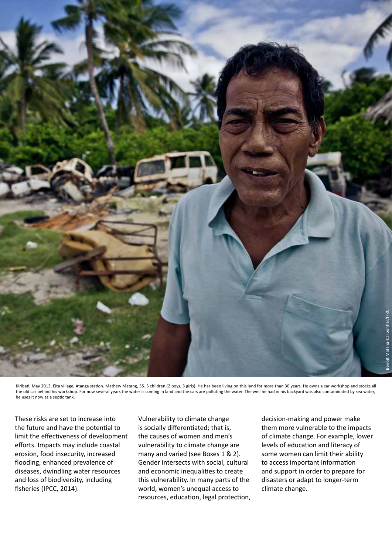

Kiribati, May 2013, Eita village, Atanga station. Mathew Matang, 55. 5 children (2 boys, 3 girls). He has been living on this land for more than 30 years. He owns a car workshop and stocks all the old car behind his workshop. For now several years the water is coming in land and the cars are polluting the water. The well he had in his backyard was also contaminated by sea water, he uses it now as a septic tank.

These risks are set to increase into the future and have the potential to limit the effectiveness of development efforts. Impacts may include coastal erosion, food insecurity, increased flooding, enhanced prevalence of diseases, dwindling water resources and loss of biodiversity, including fisheries (IPCC, 2014).

Vulnerability to climate change is socially differentiated; that is, the causes of women and men's vulnerability to climate change are many and varied (see Boxes 1 & 2). Gender intersects with social, cultural and economic inequalities to create this vulnerability. In many parts of the world, women's unequal access to resources, education, legal protection, decision-making and power make them more vulnerable to the impacts of climate change. For example, lower levels of education and literacy of some women can limit their ability to access important information and support in order to prepare for disasters or adapt to longer-term climate change.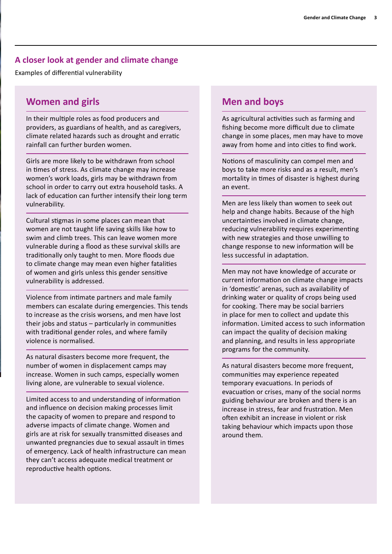### **A closer look at gender and climate change**

Examples of differential vulnerability

# **Women and girls**

In their multiple roles as food producers and providers, as guardians of health, and as caregivers, climate related hazards such as drought and erratic rainfall can further burden women.

Girls are more likely to be withdrawn from school in times of stress. As climate change may increase women's work loads, girls may be withdrawn from school in order to carry out extra household tasks. A lack of education can further intensify their long term vulnerability.

Cultural stigmas in some places can mean that women are not taught life saving skills like how to swim and climb trees. This can leave women more vulnerable during a flood as these survival skills are traditionally only taught to men. More floods due to climate change may mean even higher fatalities of women and girls unless this gender sensitive vulnerability is addressed.

Violence from intimate partners and male family members can escalate during emergencies. This tends to increase as the crisis worsens, and men have lost their jobs and status – particularly in communities with traditional gender roles, and where family violence is normalised.

As natural disasters become more frequent, the number of women in displacement camps may increase. Women in such camps, especially women living alone, are vulnerable to sexual violence.

Limited access to and understanding of information and influence on decision making processes limit the capacity of women to prepare and respond to adverse impacts of climate change. Women and girls are at risk for sexually transmitted diseases and unwanted pregnancies due to sexual assault in times of emergency. Lack of health infrastructure can mean they can't access adequate medical treatment or reproductive health options.

## **Men and boys**

As agricultural activities such as farming and fishing become more difficult due to climate change in some places, men may have to move away from home and into cities to find work.

Notions of masculinity can compel men and boys to take more risks and as a result, men's mortality in times of disaster is highest during an event.

Men are less likely than women to seek out help and change habits. Because of the high uncertainties involved in climate change, reducing vulnerability requires experimenting with new strategies and those unwilling to change response to new information will be less successful in adaptation.

Men may not have knowledge of accurate or current information on climate change impacts in 'domestic' arenas, such as availability of drinking water or quality of crops being used for cooking. There may be social barriers in place for men to collect and update this information. Limited access to such information can impact the quality of decision making and planning, and results in less appropriate programs for the community.

As natural disasters become more frequent, communities may experience repeated temporary evacuations. In periods of evacuation or crises, many of the social norms guiding behaviour are broken and there is an increase in stress, fear and frustration. Men often exhibit an increase in violent or risk taking behaviour which impacts upon those around them.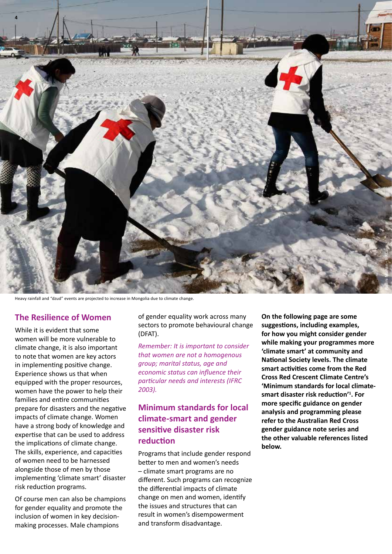

Heavy rainfall and "dzud" events are projected to increase in Mongolia due to climate change.

#### **The Resilience of Women**

While it is evident that some women will be more vulnerable to climate change, it is also important to note that women are key actors in implementing positive change. Experience shows us that when equipped with the proper resources, women have the power to help their families and entire communities prepare for disasters and the negative impacts of climate change. Women have a strong body of knowledge and expertise that can be used to address the implications of climate change. The skills, experience, and capacities of women need to be harnessed alongside those of men by those implementing 'climate smart' disaster risk reduction programs.

Of course men can also be champions for gender equality and promote the inclusion of women in key decisionmaking processes. Male champions

of gender equality work across many sectors to promote behavioural change (DFAT).

*Remember: It is important to consider that women are not a homogenous group; marital status, age and economic status can influence their particular needs and interests (IFRC 2003).*

# **Minimum standards for local climate-smart and gender sensitive disaster risk reduction**

Programs that include gender respond better to men and women's needs – climate smart programs are no different. Such programs can recognize the differential impacts of climate change on men and women, identify the issues and structures that can result in women's disempowerment and transform disadvantage.

**On the following page are some suggestions, including examples, for how you might consider gender while making your programmes more 'climate smart' at community and National Society levels. The climate smart activities come from the Red Cross Red Crescent Climate Centre's 'Minimum standards for local climatesmart disaster risk reduction'<sup>1</sup> . For more specific guidance on gender analysis and programming please refer to the Australian Red Cross gender guidance note series and the other valuable references listed below.**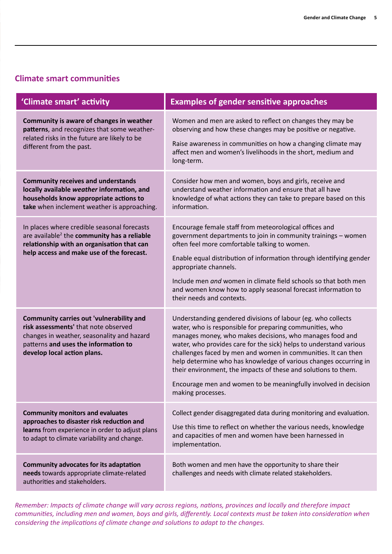## **Climate smart communities**

| 'Climate smart' activity                                                                                                                                                                              | <b>Examples of gender sensitive approaches</b>                                                                                                                                                                                                                                                                                                                                                                                                                                                                                                            |
|-------------------------------------------------------------------------------------------------------------------------------------------------------------------------------------------------------|-----------------------------------------------------------------------------------------------------------------------------------------------------------------------------------------------------------------------------------------------------------------------------------------------------------------------------------------------------------------------------------------------------------------------------------------------------------------------------------------------------------------------------------------------------------|
| Community is aware of changes in weather<br>patterns, and recognizes that some weather-<br>related risks in the future are likely to be<br>different from the past.                                   | Women and men are asked to reflect on changes they may be<br>observing and how these changes may be positive or negative.<br>Raise awareness in communities on how a changing climate may<br>affect men and women's livelihoods in the short, medium and<br>long-term.                                                                                                                                                                                                                                                                                    |
| <b>Community receives and understands</b><br>locally available weather information, and<br>households know appropriate actions to<br>take when inclement weather is approaching.                      | Consider how men and women, boys and girls, receive and<br>understand weather information and ensure that all have<br>knowledge of what actions they can take to prepare based on this<br>information.                                                                                                                                                                                                                                                                                                                                                    |
| In places where credible seasonal forecasts<br>are available <sup>2</sup> the community has a reliable<br>relationship with an organisation that can<br>help access and make use of the forecast.     | Encourage female staff from meteorological offices and<br>government departments to join in community trainings - women<br>often feel more comfortable talking to women.<br>Enable equal distribution of information through identifying gender<br>appropriate channels.<br>Include men and women in climate field schools so that both men<br>and women know how to apply seasonal forecast information to<br>their needs and contexts.                                                                                                                  |
| Community carries out 'vulnerability and<br>risk assessments' that note observed<br>changes in weather, seasonality and hazard<br>patterns and uses the information to<br>develop local action plans. | Understanding gendered divisions of labour (eg. who collects<br>water, who is responsible for preparing communities, who<br>manages money, who makes decisions, who manages food and<br>water, who provides care for the sick) helps to understand various<br>challenges faced by men and women in communities. It can then<br>help determine who has knowledge of various changes occurring in<br>their environment, the impacts of these and solutions to them.<br>Encourage men and women to be meaningfully involved in decision<br>making processes. |
| <b>Community monitors and evaluates</b><br>approaches to disaster risk reduction and<br>learns from experience in order to adjust plans<br>to adapt to climate variability and change.                | Collect gender disaggregated data during monitoring and evaluation.<br>Use this time to reflect on whether the various needs, knowledge<br>and capacities of men and women have been harnessed in<br>implementation.                                                                                                                                                                                                                                                                                                                                      |
| Community advocates for its adaptation<br>needs towards appropriate climate-related<br>authorities and stakeholders.                                                                                  | Both women and men have the opportunity to share their<br>challenges and needs with climate related stakeholders.                                                                                                                                                                                                                                                                                                                                                                                                                                         |

*Remember: Impacts of climate change will vary across regions, nations, provinces and locally and therefore impact communities, including men and women, boys and girls, differently. Local contexts must be taken into consideration when considering the implications of climate change and solutions to adapt to the changes.*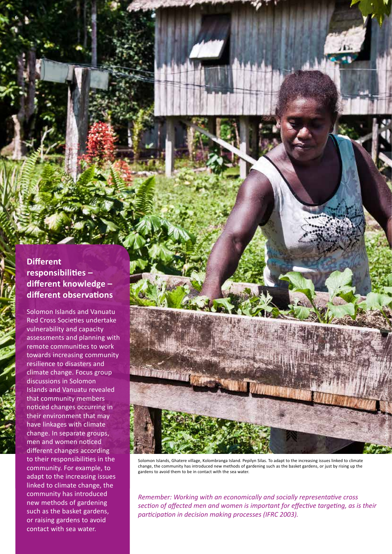# **Different responsibilities – different knowledge – different observations**

**6** 

Solomon Islands and Vanuatu Red Cross Societies undertake vulnerability and capacity assessments and planning with remote communities to work towards increasing community resilience to disasters and climate change. Focus group discussions in Solomon Islands and Vanuatu revealed that community members noticed changes occurring in their environment that may have linkages with climate change. In separate groups, men and women noticed different changes according to their responsibilities in the community. For example, to adapt to the increasing issues linked to climate change, the community has introduced new methods of gardening such as the basket gardens, or raising gardens to avoid contact with sea water.



Solomon Islands, Ghatere village, Kolombranga Island. Pepilyn Silas. To adapt to the increasing issues linked to climate change, the community has introduced new methods of gardening such as the basket gardens, or just by rising up the gardens to avoid them to be in contact with the sea water.

*Remember: Working with an economically and socially representative cross section of affected men and women is important for effective targeting, as is their participation in decision making processes (IFRC 2003).*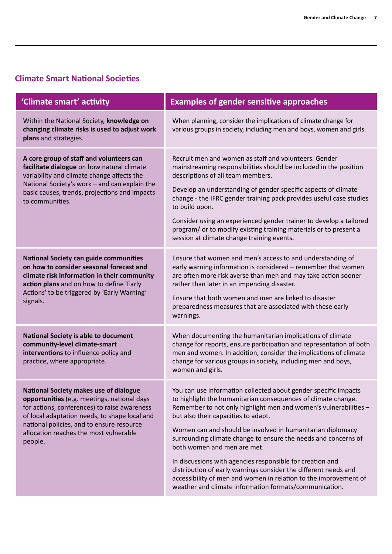# **Climate Smart National Societies**

| 'Climate smart' activity                                                                                                                                                                                                                                                                 | <b>Examples of gender sensitive approaches</b>                                                                                                                                                                                                                                                                                                                                                                                                                                                                                                                                                                                                                           |
|------------------------------------------------------------------------------------------------------------------------------------------------------------------------------------------------------------------------------------------------------------------------------------------|--------------------------------------------------------------------------------------------------------------------------------------------------------------------------------------------------------------------------------------------------------------------------------------------------------------------------------------------------------------------------------------------------------------------------------------------------------------------------------------------------------------------------------------------------------------------------------------------------------------------------------------------------------------------------|
| Within the National Society, knowledge on<br>changing climate risks is used to adjust work<br>plans and strategies.                                                                                                                                                                      | When planning, consider the implications of climate change for<br>various groups in society, including men and boys, women and girls.                                                                                                                                                                                                                                                                                                                                                                                                                                                                                                                                    |
| A core group of staff and volunteers can<br>facilitate dialogue on how natural climate<br>variability and climate change affects the<br>National Society's work - and can explain the<br>basic causes, trends, projections and impacts<br>to communities.                                | Recruit men and women as staff and volunteers. Gender<br>mainstreaming responsibilities should be included in the position<br>descriptions of all team members.<br>Develop an understanding of gender specific aspects of climate<br>change - the IFRC gender training pack provides useful case studies<br>to build upon.<br>Consider using an experienced gender trainer to develop a tailored<br>program/ or to modify existing training materials or to present a<br>session at climate change training events.                                                                                                                                                      |
| <b>National Society can guide communities</b><br>on how to consider seasonal forecast and<br>climate risk information in their community<br>action plans and on how to define 'Early<br>Actions' to be triggered by 'Early Warning'<br>signals.                                          | Ensure that women and men's access to and understanding of<br>early warning information is considered - remember that women<br>are often more risk averse than men and may take action sooner<br>rather than later in an impending disaster.<br>Ensure that both women and men are linked to disaster<br>preparedness measures that are associated with these early<br>warnings.                                                                                                                                                                                                                                                                                         |
| <b>National Society is able to document</b><br>community-level climate-smart<br>interventions to influence policy and<br>practice, where appropriate.                                                                                                                                    | When documenting the humanitarian implications of climate<br>change for reports, ensure participation and representation of both<br>men and women. In addition, consider the implications of climate<br>change for various groups in society, including men and boys,<br>women and girls.                                                                                                                                                                                                                                                                                                                                                                                |
| National Society makes use of dialogue<br>opportunities (e.g. meetings, national days<br>for actions, conferences) to raise awareness<br>of local adaptation needs, to shape local and<br>national policies, and to ensure resource<br>allocation reaches the most vulnerable<br>people. | You can use information collected about gender specific impacts<br>to highlight the humanitarian consequences of climate change.<br>Remember to not only highlight men and women's vulnerabilities -<br>but also their capacities to adapt.<br>Women can and should be involved in humanitarian diplomacy<br>surrounding climate change to ensure the needs and concerns of<br>both women and men are met.<br>In discussions with agencies responsible for creation and<br>distribution of early warnings consider the different needs and<br>accessibility of men and women in relation to the improvement of<br>weather and climate information formats/communication. |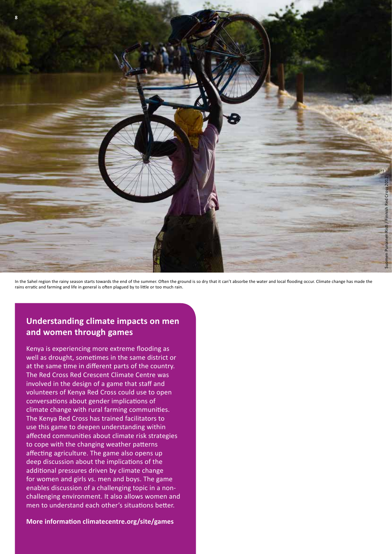

In the Sahel region the rainy season starts towards the end of the summer. Often the ground is so dry that it can't absorbe the water and local flooding occur. Climate change has made the rains erratic and farming and life in general is often plagued by to little or too much rain.

# **Understanding climate impacts on men and women through games**

Kenya is experiencing more extreme flooding as well as drought, sometimes in the same district or at the same time in different parts of the country. The Red Cross Red Crescent Climate Centre was involved in the design of a game that staff and volunteers of Kenya Red Cross could use to open conversations about gender implications of climate change with rural farming communities. The Kenya Red Cross has trained facilitators to use this game to deepen understanding within affected communities about climate risk strategies to cope with the changing weather patterns affecting agriculture. The game also opens up deep discussion about the implications of the additional pressures driven by climate change for women and girls vs. men and boys. The game enables discussion of a challenging topic in a nonchallenging environment. It also allows women and men to understand each other's situations better.

**More information climatecentre.org/site/games**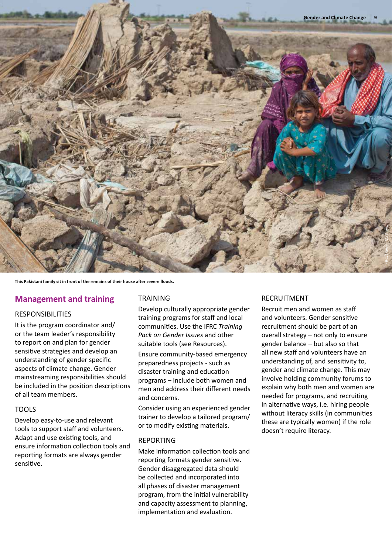

**This Pakistani family sit in front of the remains of their house after severe floods.** 

## **Management and training**

#### RESPONSIBILITIES

It is the program coordinator and/ or the team leader's responsibility to report on and plan for gender sensitive strategies and develop an understanding of gender specific aspects of climate change. Gender mainstreaming responsibilities should be included in the position descriptions of all team members.

#### TOOLS

Develop easy-to-use and relevant tools to support staff and volunteers. Adapt and use existing tools, and ensure information collection tools and reporting formats are always gender sensitive.

#### TRAINING

Develop culturally appropriate gender training programs for staff and local communities. Use the IFRC *Training Pack on Gender Issues* and other suitable tools (see Resources).

Ensure community-based emergency preparedness projects - such as disaster training and education programs – include both women and men and address their different needs and concerns.

Consider using an experienced gender trainer to develop a tailored program/ or to modify existing materials.

#### REPORTING

Make information collection tools and reporting formats gender sensitive. Gender disaggregated data should be collected and incorporated into all phases of disaster management program, from the initial vulnerability and capacity assessment to planning, implementation and evaluation.

#### RECRUITMENT

Recruit men and women as staff and volunteers. Gender sensitive recruitment should be part of an overall strategy – not only to ensure gender balance – but also so that all new staff and volunteers have an understanding of, and sensitivity to, gender and climate change. This may involve holding community forums to explain why both men and women are needed for programs, and recruiting in alternative ways, i.e. hiring people without literacy skills (in communities these are typically women) if the role doesn't require literacy.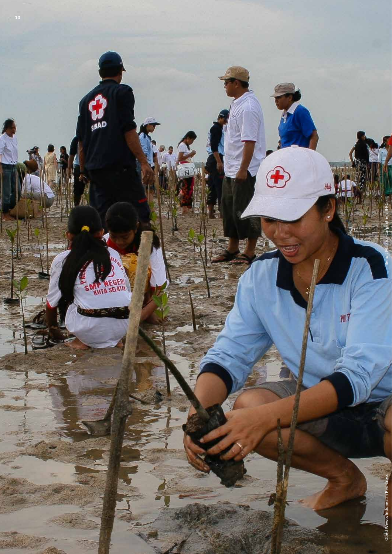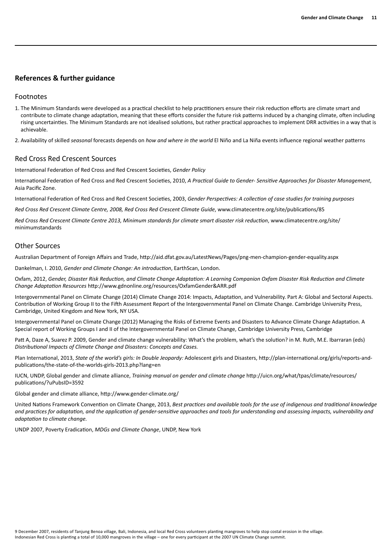#### **References & further guidance**

#### Footnotes

- 1. The Minimum Standards were developed as a practical checklist to help practitioners ensure their risk reduction efforts are climate smart and contribute to climate change adaptation, meaning that these efforts consider the future risk patterns induced by a changing climate, often including rising uncertainties. The Minimum Standards are not idealised solutions, but rather practical approaches to implement DRR activities in a way that is achievable.
- 2. Availability of skilled *seasonal* forecasts depends on *how and where in the world* El Niño and La Niña events influence regional weather patterns

#### Red Cross Red Crescent Sources

International Federation of Red Cross and Red Crescent Societies, *Gender Policy*

International Federation of Red Cross and Red Crescent Societies, 2010, *A Practical Guide to Gender- Sensitive Approaches for Disaster Management*, Asia Pacific Zone.

International Federation of Red Cross and Red Crescent Societies, 2003, *Gender Perspectives: A collection of case studies for training purposes*

*Red Cross Red Crescent Climate Centre, 2008, Red Cross Red Crescent Climate Guide*, www.climatecentre.org/site/publications/85

*Red Cross Red Crescent Climate Centre 2013, Minimum standards for climate smart disaster risk reduction*, www.climatecentre.org/site/ minimumstandards

#### Other Sources

Australian Department of Foreign Affairs and Trade, http://aid.dfat.gov.au/LatestNews/Pages/png-men-champion-gender-equality.aspx

Dankelman, I. 2010, *Gender and Climate Change: An introduction*, EarthScan, London.

Oxfam, 2012, *Gender, Disaster Risk Reduction, and Climate Change Adaptation: A Learning Companion Oxfam Disaster Risk Reduction and Climate Change Adaptation Resources* http://www.gdnonline.org/resources/OxfamGender&ARR.pdf

Intergovernmental Panel on Climate Change (2014) Climate Change 2014: Impacts, Adaptation, and Vulnerability. Part A: Global and Sectoral Aspects. Contribution of Working Group II to the Fifth Assessment Report of the Intergovernmental Panel on Climate Change. Cambridge University Press, Cambridge, United Kingdom and New York, NY USA.

Intergovernmental Panel on Climate Change (2012) Managing the Risks of Extreme Events and Disasters to Advance Climate Change Adaptation. A Special report of Working Groups I and II of the Intergovernmental Panel on Climate Change, Cambridge University Press, Cambridge

Patt A, Daze A, Suarez P. 2009, Gender and climate change vulnerability: What's the problem, what's the solution? in M. Ruth, M.E. Ibarraran (eds) *Distributional Impacts of Climate Change and Disasters: Concepts and Cases.* 

Plan International, 2013, *State of the world's girls: In Double Jeopardy:* Adolescent girls and Disasters, http://plan-international.org/girls/reports-andpublications/the-state-of-the-worlds-girls-2013.php?lang=en

IUCN, UNDP, Global gender and climate alliance, *Training manual on gender and climate change* http://uicn.org/what/tpas/climate/resources/ publications/?uPubsID=3592

Global gender and climate alliance, http://www.gender-climate.org/

United Nations Framework Convention on Climate Change, 2013, *Best practices and available tools for the use of indigenous and traditional knowledge and practices for adaptation, and the application of gender-sensitive approaches and tools for understanding and assessing impacts, vulnerability and adaptation to climate change.*

UNDP 2007, Poverty Eradication, *MDGs and Climate Change*, UNDP, New York